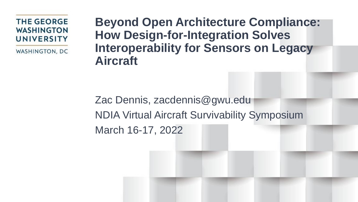**THE GEORGE WASHINGTON UNIVERSITY** 

WASHINGTON, DC

**Beyond Open Architecture Compliance: How Design-for-Integration Solves Interoperability for Sensors on Legacy Aircraft** 

Zac Dennis, zacdennis@gwu.edu NDIA Virtual Aircraft Survivability Symposium March 16-17, 2022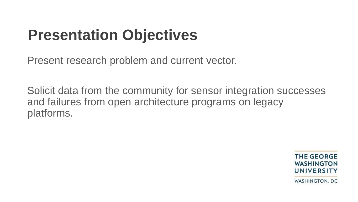## **Presentation Objectives**

Present research problem and current vector.

Solicit data from the community for sensor integration successes and failures from open architecture programs on legacy platforms.

> **THE GEORGE WASHINGTON** UNIVERSITY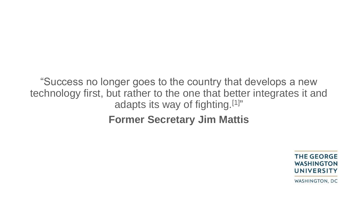"Success no longer goes to the country that develops a new technology first, but rather to the one that better integrates it and adapts its way of fighting.[1]"

**Former Secretary Jim Mattis**

**THE GEORGE WASHINGTON** UNIVERSITY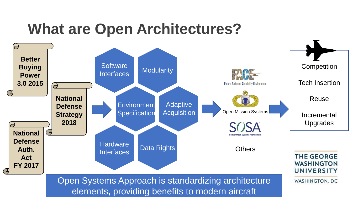#### **What are Open Architectures?**

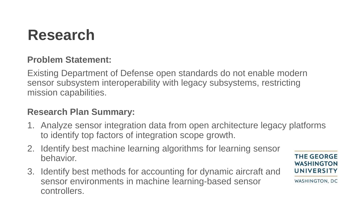## **Research**

#### **Problem Statement:**

Existing Department of Defense open standards do not enable modern sensor subsystem interoperability with legacy subsystems, restricting mission capabilities.

#### **Research Plan Summary:**

- 1. Analyze sensor integration data from open architecture legacy platforms to identify top factors of integration scope growth.
- 2. Identify best machine learning algorithms for learning sensor behavior.
- 3. Identify best methods for accounting for dynamic aircraft and sensor environments in machine learning-based sensor controllers.

**THE GEORGE WASHINGTON** UNIVERSITY WASHINGTON, DC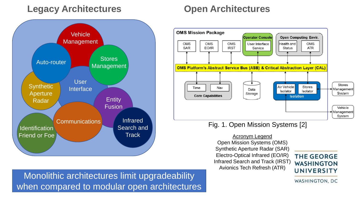#### **Legacy Architectures Open Architectures**





#### Fig. 1. Open Mission Systems [2]

Open Mission Systems (OMS) Synthetic Aperture Radar (SAR) Electro-Optical Infrared (EO/IR) Infrared Search and Track (IRST) Avionics Tech Refresh (ATR)

#### **THE GEORGE WASHINGTON** UNIVERSITY

Monolithic architectures limit upgradeability when compared to modular open architectures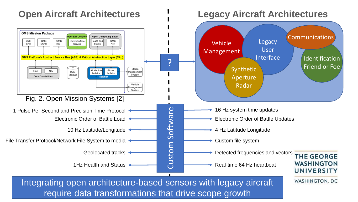#### **Open Aircraft Architectures Legacy Aircraft Architectures OMS Mission Package Open Computing Envir.** Communications **perator Conso** Legacy **OMS OMS OMS** User Interface Health and **OMS** Vehicle SAR EO/IR **IRST Status ATR** Service User Management Interface OMS Platform's Abstract Service Bus (ASB) & Critical Abstraction Layer (CAL) Identification ? Synthetic **Synthetic** Friend or Foe Stores Air Vehicle Time Nav **Stores** Data **Aanagement** Isolator Isolator Storage System **Core Capabilities** Aperture **Isolation** Vehicle Radar anagemen System Fig. 2. Open Mission Systems [2] 1 Pulse Per Second and Precision Time Protocol 16 Hz system time updates Custom Software Electronic Order of Battle Load Andrew Burns Content Plectronic Order of Battle Updates 10 Hz Latitude/Longitude 4 **Hz Constructs** 4 Hz Latitude Longitude File Transfer Protocol/Network File System to media <br>
Geolocated tracks<br>
THz Health and Status Geolocated tracks  $\leftarrow$  Detected frequencies and vectors **THE GEORGE WASHINGTON** 1Hz Health and Status And Alternative Real-time 64 Hz heartbeat **UNIVERSITY** Integrating open architecture-based sensors with legacy aircraft WASHINGTON, DC

require data transformations that drive scope growth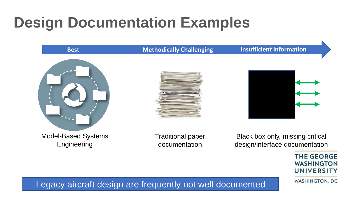## **Design Documentation Examples**

#### **Best Methodically Challenging Insufficient Information**







Model-Based Systems Engineering

Traditional paper documentation

Black box only, missing critical design/interface documentation

> **THE GEORGE WASHINGTON UNIVERSITY**

WASHINGTON, DC

Legacy aircraft design are frequently not well documented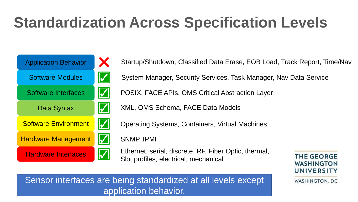# **Standardization Across Specification Levels**



Startup/Shutdown, Classified Data Erase, EOB Load, Track Report, Time/Nav System Manager, Security Services, Task Manager, Nav Data Service POSIX, FACE APIs, OMS Critical Abstraction Layer XML, OMS Schema, FACE Data Models Operating Systems, Containers, Virtual Machines SNMP, IPMI Hardware Interfaces **Ethernet, serial, discrete, RF, Fiber Optic, thermal, THE GEORGE** Slot profiles, electrical, mechanical **WASHINGTON** UNIVERSITY WASHINGTON, DC

Sensor interfaces are being standardized at all levels except application behavior.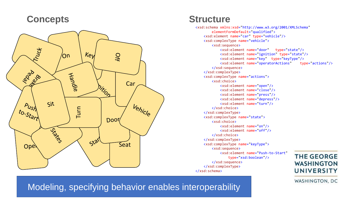#### **Concepts Structure**



<xsd:schema xmlns:xsd="http://www.w3.org/2001/XMLSchema" elementFormDefault="qualified"> <xsd:element name="car" type="vehicle"/> <xsd:complexType name="vehicle"> <xsd:sequence> <xsd:element name="door" type="state"/> <xsd:element name="ignition" type="state"/> <xsd:element name="key" type="keyType"/> <xsd:element name="operatorActions" type="actions"/> </xsd:sequence> </xsd:complexType> <xsd:complexType name="actions"> <xsd:choice> <xsd:element name="open"/> <xsd:element name="close"/> <xsd:element name="press"/> <xsd:element name="depress"/> <xsd:element name="turn"/> </xsd:choice> </xsd:complexType> <xsd:complexType name="state"> <xsd:choice> <xsd:element name="on"/> <xsd:element name="off"/> </xsd:choice> </xsd:complexType> <xsd:complexType name="keyType"> <xsd:sequence> <xsd:element name="Push-to-Start" **THE GEORGE** type="xsd:boolean"/> </xsd:sequence> **WASHINGTON** </xsd:complexType> **UNIVERSITY** </xsd:schema>

WASHINGTON, DC

Modeling, specifying behavior enables interoperability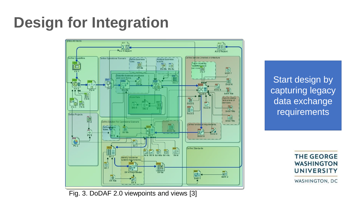## **Design for Integration**



Start design by capturing legacy data exchange requirements

> **THE GEORGE WASHINGTON UNIVERSITY**

Fig. 3. DoDAF 2.0 viewpoints and views [3]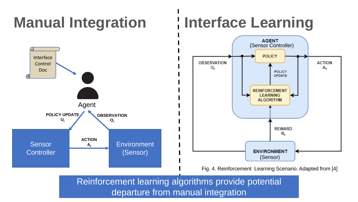# **Manual Integration**

# **Interface Learning**



Reinforcement learning algorithms provide potential departure from manual integration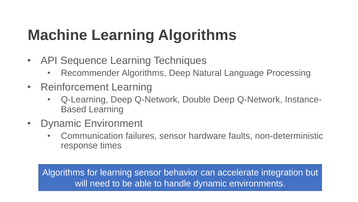# **Machine Learning Algorithms**

- API Sequence Learning Techniques
	- Recommender Algorithms, Deep Natural Language Processing
- Reinforcement Learning
	- Q-Learning, Deep Q-Network, Double Deep Q-Network, Instance-Based Learning
- Dynamic Environment
	- Communication failures, sensor hardware faults, non-deterministic response times

Algorithms for learning sensor behavior can accelerate integration but will need to be able to handle dynamic environments.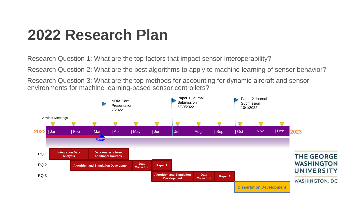### **2022 Research Plan**

Research Question 1: What are the top factors that impact sensor interoperability?

Research Question 2: What are the best algorithms to apply to machine learning of sensor behavior?

Research Question 3: What are the top methods for accounting for dynamic aircraft and sensor environments for machine learning-based sensor controllers?

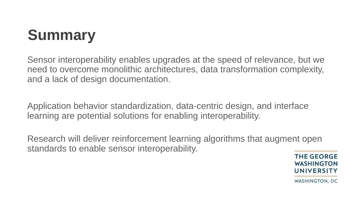# **Summary**

Sensor interoperability enables upgrades at the speed of relevance, but we need to overcome monolithic architectures, data transformation complexity, and a lack of design documentation.

Application behavior standardization, data-centric design, and interface learning are potential solutions for enabling interoperability.

Research will deliver reinforcement learning algorithms that augment open standards to enable sensor interoperability.

**THE GEORGE WASHINGTON UNIVERSITY**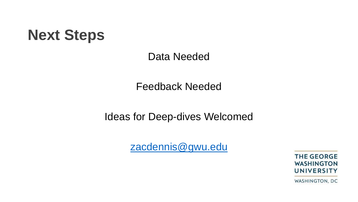#### **Next Steps**

Data Needed

Feedback Needed

Ideas for Deep-dives Welcomed

[zacdennis@gwu.edu](mailto:zacdennis@gwu.edu)

**THE GEORGE WASHINGTON UNIVERSITY**